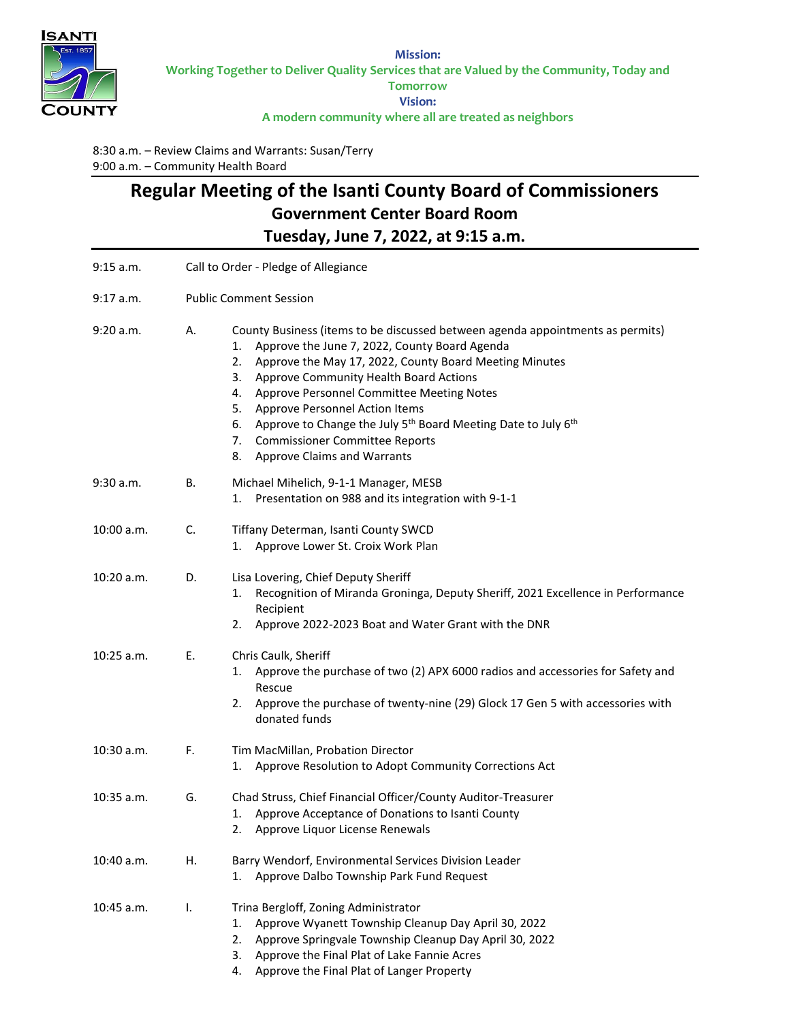

**Mission: Working Together to Deliver Quality Services that are Valued by the Community, Today and Tomorrow Vision: A modern community where all are treated as neighbors**

8:30 a.m. – Review Claims and Warrants: Susan/Terry 9:00 a.m. – Community Health Board

## **Regular Meeting of the Isanti County Board of Commissioners Government Center Board Room Tuesday, June 7, 2022, at 9:15 a.m.**

| 9:15 a.m.    | Call to Order - Pledge of Allegiance                                                                                                                                                                                                                                                                                                                                                                                                                                                                                                             |  |  |
|--------------|--------------------------------------------------------------------------------------------------------------------------------------------------------------------------------------------------------------------------------------------------------------------------------------------------------------------------------------------------------------------------------------------------------------------------------------------------------------------------------------------------------------------------------------------------|--|--|
| $9:17$ a.m.  | <b>Public Comment Session</b>                                                                                                                                                                                                                                                                                                                                                                                                                                                                                                                    |  |  |
| 9:20 a.m.    | County Business (items to be discussed between agenda appointments as permits)<br>Α.<br>Approve the June 7, 2022, County Board Agenda<br>1.<br>Approve the May 17, 2022, County Board Meeting Minutes<br>2.<br>Approve Community Health Board Actions<br>3.<br>Approve Personnel Committee Meeting Notes<br>4.<br>Approve Personnel Action Items<br>5.<br>Approve to Change the July 5 <sup>th</sup> Board Meeting Date to July 6 <sup>th</sup><br>6.<br><b>Commissioner Committee Reports</b><br>7.<br><b>Approve Claims and Warrants</b><br>8. |  |  |
| 9:30 a.m.    | В.<br>Michael Mihelich, 9-1-1 Manager, MESB<br>Presentation on 988 and its integration with 9-1-1<br>1.                                                                                                                                                                                                                                                                                                                                                                                                                                          |  |  |
| 10:00 a.m.   | C.<br>Tiffany Determan, Isanti County SWCD<br>Approve Lower St. Croix Work Plan<br>1.                                                                                                                                                                                                                                                                                                                                                                                                                                                            |  |  |
| 10:20 a.m.   | Lisa Lovering, Chief Deputy Sheriff<br>D.<br>Recognition of Miranda Groninga, Deputy Sheriff, 2021 Excellence in Performance<br>1.<br>Recipient<br>Approve 2022-2023 Boat and Water Grant with the DNR<br>2.                                                                                                                                                                                                                                                                                                                                     |  |  |
| $10:25$ a.m. | Ε.<br>Chris Caulk, Sheriff<br>Approve the purchase of two (2) APX 6000 radios and accessories for Safety and<br>1.<br>Rescue<br>Approve the purchase of twenty-nine (29) Glock 17 Gen 5 with accessories with<br>2.<br>donated funds                                                                                                                                                                                                                                                                                                             |  |  |
| $10:30$ a.m. | F.<br>Tim MacMillan, Probation Director<br>Approve Resolution to Adopt Community Corrections Act<br>1.                                                                                                                                                                                                                                                                                                                                                                                                                                           |  |  |
| 10:35 a.m.   | Chad Struss, Chief Financial Officer/County Auditor-Treasurer<br>G.<br>Approve Acceptance of Donations to Isanti County<br>1.<br>Approve Liquor License Renewals<br>2.                                                                                                                                                                                                                                                                                                                                                                           |  |  |
| 10:40 a.m.   | Barry Wendorf, Environmental Services Division Leader<br>Н.<br>Approve Dalbo Township Park Fund Request<br>1.                                                                                                                                                                                                                                                                                                                                                                                                                                    |  |  |
| 10:45 a.m.   | I.<br>Trina Bergloff, Zoning Administrator<br>Approve Wyanett Township Cleanup Day April 30, 2022<br>1.<br>2.<br>Approve Springvale Township Cleanup Day April 30, 2022<br>Approve the Final Plat of Lake Fannie Acres<br>3.<br>Approve the Final Plat of Langer Property<br>4.                                                                                                                                                                                                                                                                  |  |  |